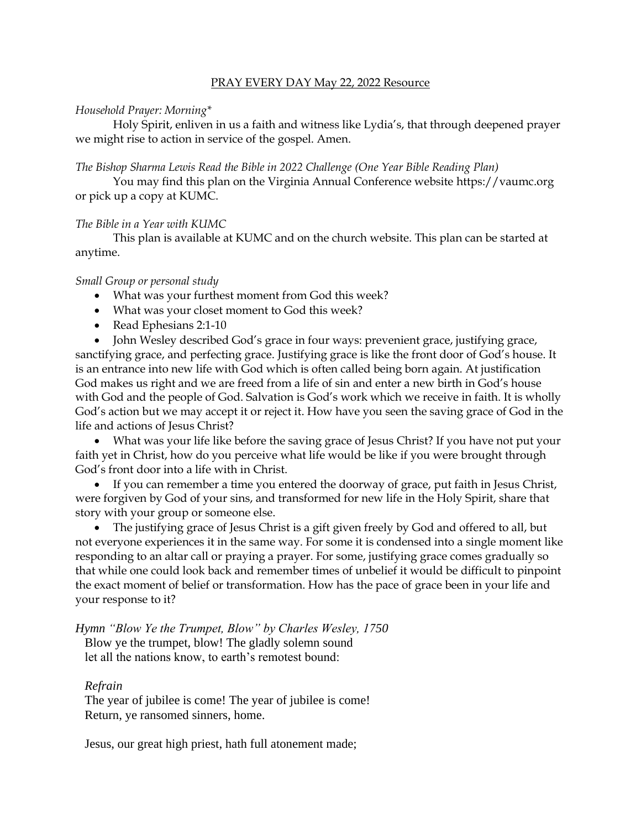## PRAY EVERY DAY May 22, 2022 Resource

### *Household Prayer: Morning\**

Holy Spirit, enliven in us a faith and witness like Lydia's, that through deepened prayer we might rise to action in service of the gospel. Amen.

### *The Bishop Sharma Lewis Read the Bible in 2022 Challenge (One Year Bible Reading Plan)*

You may find this plan on the Virginia Annual Conference website [https://vaumc.org](https://vaumc.org/) or pick up a copy at KUMC.

# *The Bible in a Year with KUMC*

This plan is available at KUMC and on the church website. This plan can be started at anytime.

## *Small Group or personal study*

- What was your furthest moment from God this week?
- What was your closet moment to God this week?
- Read Ephesians 2:1-10
- John Wesley described God's grace in four ways: prevenient grace, justifying grace,

sanctifying grace, and perfecting grace. Justifying grace is like the front door of God's house. It is an entrance into new life with God which is often called being born again. At justification God makes us right and we are freed from a life of sin and enter a new birth in God's house with God and the people of God. Salvation is God's work which we receive in faith. It is wholly God's action but we may accept it or reject it. How have you seen the saving grace of God in the life and actions of Jesus Christ?

• What was your life like before the saving grace of Jesus Christ? If you have not put your faith yet in Christ, how do you perceive what life would be like if you were brought through God's front door into a life with in Christ.

• If you can remember a time you entered the doorway of grace, put faith in Jesus Christ, were forgiven by God of your sins, and transformed for new life in the Holy Spirit, share that story with your group or someone else.

• The justifying grace of Jesus Christ is a gift given freely by God and offered to all, but not everyone experiences it in the same way. For some it is condensed into a single moment like responding to an altar call or praying a prayer. For some, justifying grace comes gradually so that while one could look back and remember times of unbelief it would be difficult to pinpoint the exact moment of belief or transformation. How has the pace of grace been in your life and your response to it?

*Hymn "Blow Ye the Trumpet, Blow" by Charles Wesley, 1750*

Blow ye the trumpet, blow! The gladly solemn sound let all the nations know, to earth's remotest bound:

# *Refrain*

The year of jubilee is come! The year of jubilee is come! Return, ye ransomed sinners, home.

Jesus, our great high priest, hath full atonement made;